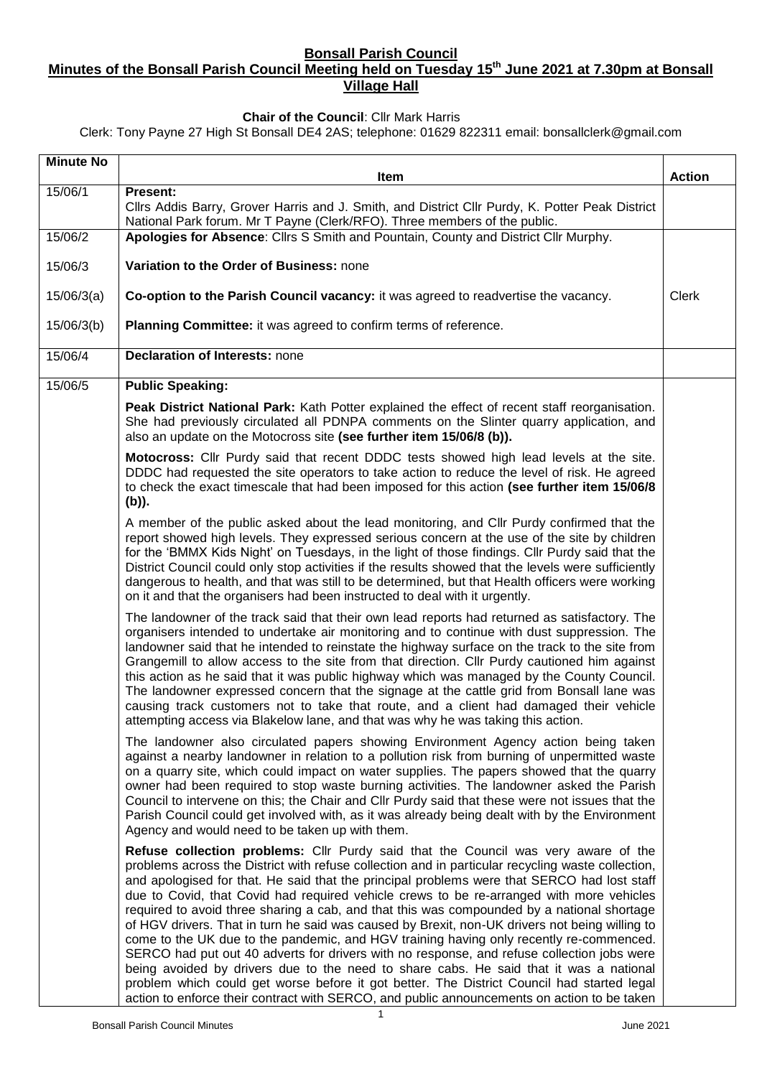### **Bonsall Parish Council**

## **Minutes of the Bonsall Parish Council Meeting held on Tuesday 15th June 2021 at 7.30pm at Bonsall Village Hall**

#### **Chair of the Council**: Cllr Mark Harris

Clerk: Tony Payne 27 High St Bonsall DE4 2AS; telephone: 01629 822311 email: bonsallclerk@gmail.com

| <b>Minute No</b> | Item                                                                                                                                                                                                                                                                                                                                                                                                                                                                                                                                                                                                                                                                                                                                                                                                                                                                                                                                                                                                                                                               | <b>Action</b> |
|------------------|--------------------------------------------------------------------------------------------------------------------------------------------------------------------------------------------------------------------------------------------------------------------------------------------------------------------------------------------------------------------------------------------------------------------------------------------------------------------------------------------------------------------------------------------------------------------------------------------------------------------------------------------------------------------------------------------------------------------------------------------------------------------------------------------------------------------------------------------------------------------------------------------------------------------------------------------------------------------------------------------------------------------------------------------------------------------|---------------|
| 15/06/1          | Present:                                                                                                                                                                                                                                                                                                                                                                                                                                                                                                                                                                                                                                                                                                                                                                                                                                                                                                                                                                                                                                                           |               |
|                  | Cllrs Addis Barry, Grover Harris and J. Smith, and District Cllr Purdy, K. Potter Peak District<br>National Park forum. Mr T Payne (Clerk/RFO). Three members of the public.                                                                                                                                                                                                                                                                                                                                                                                                                                                                                                                                                                                                                                                                                                                                                                                                                                                                                       |               |
| 15/06/2          | Apologies for Absence: Cllrs S Smith and Pountain, County and District Cllr Murphy.                                                                                                                                                                                                                                                                                                                                                                                                                                                                                                                                                                                                                                                                                                                                                                                                                                                                                                                                                                                |               |
| 15/06/3          | Variation to the Order of Business: none                                                                                                                                                                                                                                                                                                                                                                                                                                                                                                                                                                                                                                                                                                                                                                                                                                                                                                                                                                                                                           |               |
| 15/06/3(a)       | Co-option to the Parish Council vacancy: it was agreed to readvertise the vacancy.                                                                                                                                                                                                                                                                                                                                                                                                                                                                                                                                                                                                                                                                                                                                                                                                                                                                                                                                                                                 | Clerk         |
| 15/06/3(b)       | Planning Committee: it was agreed to confirm terms of reference.                                                                                                                                                                                                                                                                                                                                                                                                                                                                                                                                                                                                                                                                                                                                                                                                                                                                                                                                                                                                   |               |
| 15/06/4          | <b>Declaration of Interests: none</b>                                                                                                                                                                                                                                                                                                                                                                                                                                                                                                                                                                                                                                                                                                                                                                                                                                                                                                                                                                                                                              |               |
| 15/06/5          | <b>Public Speaking:</b>                                                                                                                                                                                                                                                                                                                                                                                                                                                                                                                                                                                                                                                                                                                                                                                                                                                                                                                                                                                                                                            |               |
|                  | Peak District National Park: Kath Potter explained the effect of recent staff reorganisation.<br>She had previously circulated all PDNPA comments on the Slinter quarry application, and<br>also an update on the Motocross site (see further item 15/06/8 (b)).                                                                                                                                                                                                                                                                                                                                                                                                                                                                                                                                                                                                                                                                                                                                                                                                   |               |
|                  | Motocross: Cllr Purdy said that recent DDDC tests showed high lead levels at the site.<br>DDDC had requested the site operators to take action to reduce the level of risk. He agreed<br>to check the exact timescale that had been imposed for this action (see further item 15/06/8<br>(b)).                                                                                                                                                                                                                                                                                                                                                                                                                                                                                                                                                                                                                                                                                                                                                                     |               |
|                  | A member of the public asked about the lead monitoring, and Cllr Purdy confirmed that the<br>report showed high levels. They expressed serious concern at the use of the site by children<br>for the 'BMMX Kids Night' on Tuesdays, in the light of those findings. Cllr Purdy said that the<br>District Council could only stop activities if the results showed that the levels were sufficiently<br>dangerous to health, and that was still to be determined, but that Health officers were working<br>on it and that the organisers had been instructed to deal with it urgently.                                                                                                                                                                                                                                                                                                                                                                                                                                                                              |               |
|                  | The landowner of the track said that their own lead reports had returned as satisfactory. The<br>organisers intended to undertake air monitoring and to continue with dust suppression. The<br>landowner said that he intended to reinstate the highway surface on the track to the site from<br>Grangemill to allow access to the site from that direction. Cllr Purdy cautioned him against<br>this action as he said that it was public highway which was managed by the County Council.<br>The landowner expressed concern that the signage at the cattle grid from Bonsall lane was<br>causing track customers not to take that route, and a client had damaged their vehicle<br>attempting access via Blakelow lane, and that was why he was taking this action.                                                                                                                                                                                                                                                                                             |               |
|                  | The landowner also circulated papers showing Environment Agency action being taken<br>against a nearby landowner in relation to a pollution risk from burning of unpermitted waste<br>on a quarry site, which could impact on water supplies. The papers showed that the quarry<br>owner had been required to stop waste burning activities. The landowner asked the Parish<br>Council to intervene on this; the Chair and Cllr Purdy said that these were not issues that the<br>Parish Council could get involved with, as it was already being dealt with by the Environment<br>Agency and would need to be taken up with them.                                                                                                                                                                                                                                                                                                                                                                                                                                 |               |
|                  | Refuse collection problems: Cllr Purdy said that the Council was very aware of the<br>problems across the District with refuse collection and in particular recycling waste collection,<br>and apologised for that. He said that the principal problems were that SERCO had lost staff<br>due to Covid, that Covid had required vehicle crews to be re-arranged with more vehicles<br>required to avoid three sharing a cab, and that this was compounded by a national shortage<br>of HGV drivers. That in turn he said was caused by Brexit, non-UK drivers not being willing to<br>come to the UK due to the pandemic, and HGV training having only recently re-commenced.<br>SERCO had put out 40 adverts for drivers with no response, and refuse collection jobs were<br>being avoided by drivers due to the need to share cabs. He said that it was a national<br>problem which could get worse before it got better. The District Council had started legal<br>action to enforce their contract with SERCO, and public announcements on action to be taken |               |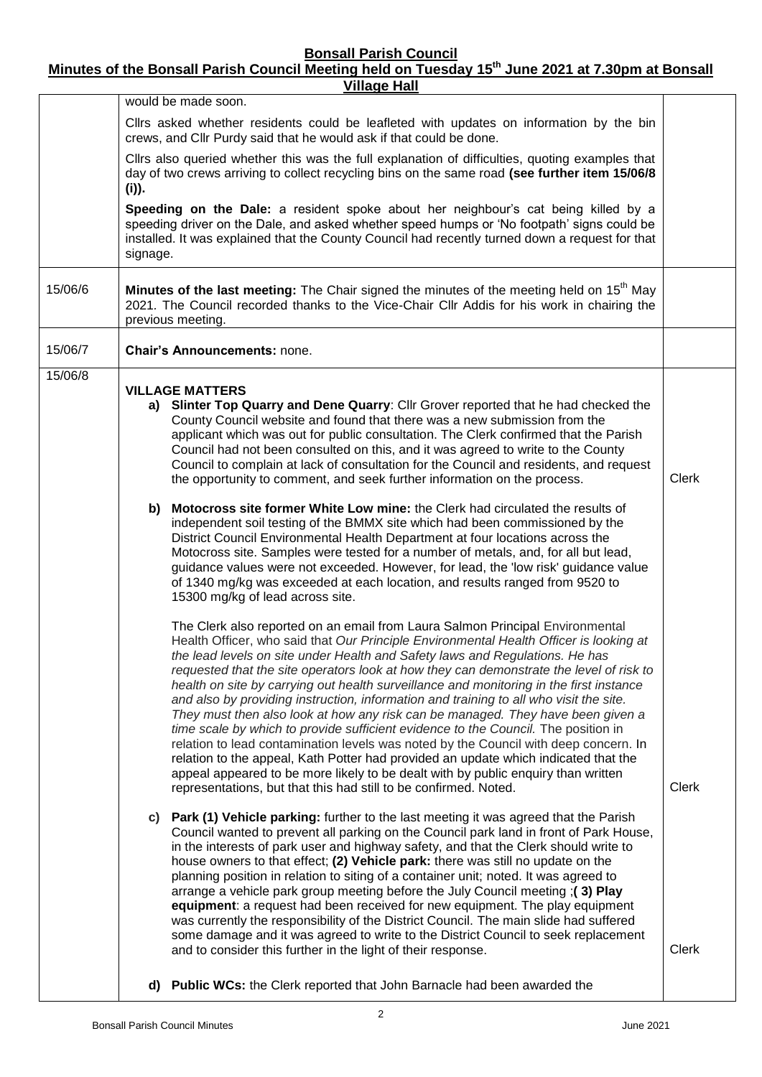**Bonsall Parish Council**

**Minutes of the Bonsall Parish Council Meeting held on Tuesday 15th June 2021 at 7.30pm at Bonsall** 

| <b>Village Hall</b> |                                                                                                                                                                                                                                                                                                 |                                                                                                                                                                                                                                                                                                                                                                                                                                                                                                                                                                                                                                                                                                                                                                                                                                                                                                                                                                                                                                                          |              |  |  |  |  |  |
|---------------------|-------------------------------------------------------------------------------------------------------------------------------------------------------------------------------------------------------------------------------------------------------------------------------------------------|----------------------------------------------------------------------------------------------------------------------------------------------------------------------------------------------------------------------------------------------------------------------------------------------------------------------------------------------------------------------------------------------------------------------------------------------------------------------------------------------------------------------------------------------------------------------------------------------------------------------------------------------------------------------------------------------------------------------------------------------------------------------------------------------------------------------------------------------------------------------------------------------------------------------------------------------------------------------------------------------------------------------------------------------------------|--------------|--|--|--|--|--|
|                     |                                                                                                                                                                                                                                                                                                 | would be made soon.                                                                                                                                                                                                                                                                                                                                                                                                                                                                                                                                                                                                                                                                                                                                                                                                                                                                                                                                                                                                                                      |              |  |  |  |  |  |
|                     | Cllrs asked whether residents could be leafleted with updates on information by the bin<br>crews, and Cllr Purdy said that he would ask if that could be done.                                                                                                                                  |                                                                                                                                                                                                                                                                                                                                                                                                                                                                                                                                                                                                                                                                                                                                                                                                                                                                                                                                                                                                                                                          |              |  |  |  |  |  |
|                     | Cllrs also queried whether this was the full explanation of difficulties, quoting examples that<br>day of two crews arriving to collect recycling bins on the same road (see further item 15/06/8<br>(i)).                                                                                      |                                                                                                                                                                                                                                                                                                                                                                                                                                                                                                                                                                                                                                                                                                                                                                                                                                                                                                                                                                                                                                                          |              |  |  |  |  |  |
|                     | Speeding on the Dale: a resident spoke about her neighbour's cat being killed by a<br>speeding driver on the Dale, and asked whether speed humps or 'No footpath' signs could be<br>installed. It was explained that the County Council had recently turned down a request for that<br>signage. |                                                                                                                                                                                                                                                                                                                                                                                                                                                                                                                                                                                                                                                                                                                                                                                                                                                                                                                                                                                                                                                          |              |  |  |  |  |  |
| 15/06/6             | Minutes of the last meeting: The Chair signed the minutes of the meeting held on 15 <sup>th</sup> May<br>2021. The Council recorded thanks to the Vice-Chair Cllr Addis for his work in chairing the<br>previous meeting.                                                                       |                                                                                                                                                                                                                                                                                                                                                                                                                                                                                                                                                                                                                                                                                                                                                                                                                                                                                                                                                                                                                                                          |              |  |  |  |  |  |
| 15/06/7             |                                                                                                                                                                                                                                                                                                 | <b>Chair's Announcements: none.</b>                                                                                                                                                                                                                                                                                                                                                                                                                                                                                                                                                                                                                                                                                                                                                                                                                                                                                                                                                                                                                      |              |  |  |  |  |  |
| 15/06/8             |                                                                                                                                                                                                                                                                                                 | <b>VILLAGE MATTERS</b><br>a) Slinter Top Quarry and Dene Quarry: Cllr Grover reported that he had checked the<br>County Council website and found that there was a new submission from the<br>applicant which was out for public consultation. The Clerk confirmed that the Parish<br>Council had not been consulted on this, and it was agreed to write to the County<br>Council to complain at lack of consultation for the Council and residents, and request<br>the opportunity to comment, and seek further information on the process.                                                                                                                                                                                                                                                                                                                                                                                                                                                                                                             | <b>Clerk</b> |  |  |  |  |  |
|                     |                                                                                                                                                                                                                                                                                                 | b) Motocross site former White Low mine: the Clerk had circulated the results of<br>independent soil testing of the BMMX site which had been commissioned by the<br>District Council Environmental Health Department at four locations across the<br>Motocross site. Samples were tested for a number of metals, and, for all but lead,<br>guidance values were not exceeded. However, for lead, the 'low risk' guidance value<br>of 1340 mg/kg was exceeded at each location, and results ranged from 9520 to<br>15300 mg/kg of lead across site.                                                                                                                                                                                                                                                                                                                                                                                                                                                                                                       |              |  |  |  |  |  |
|                     |                                                                                                                                                                                                                                                                                                 | The Clerk also reported on an email from Laura Salmon Principal Environmental<br>Health Officer, who said that Our Principle Environmental Health Officer is looking at<br>the lead levels on site under Health and Safety laws and Regulations. He has<br>requested that the site operators look at how they can demonstrate the level of risk to<br>health on site by carrying out health surveillance and monitoring in the first instance<br>and also by providing instruction, information and training to all who visit the site.<br>They must then also look at how any risk can be managed. They have been given a<br>time scale by which to provide sufficient evidence to the Council. The position in<br>relation to lead contamination levels was noted by the Council with deep concern. In<br>relation to the appeal, Kath Potter had provided an update which indicated that the<br>appeal appeared to be more likely to be dealt with by public enquiry than written<br>representations, but that this had still to be confirmed. Noted. | <b>Clerk</b> |  |  |  |  |  |
|                     |                                                                                                                                                                                                                                                                                                 | c) Park (1) Vehicle parking: further to the last meeting it was agreed that the Parish<br>Council wanted to prevent all parking on the Council park land in front of Park House,<br>in the interests of park user and highway safety, and that the Clerk should write to<br>house owners to that effect; (2) Vehicle park: there was still no update on the<br>planning position in relation to siting of a container unit; noted. It was agreed to<br>arrange a vehicle park group meeting before the July Council meeting ;(3) Play<br>equipment: a request had been received for new equipment. The play equipment<br>was currently the responsibility of the District Council. The main slide had suffered<br>some damage and it was agreed to write to the District Council to seek replacement<br>and to consider this further in the light of their response.                                                                                                                                                                                     | <b>Clerk</b> |  |  |  |  |  |
|                     |                                                                                                                                                                                                                                                                                                 | d) Public WCs: the Clerk reported that John Barnacle had been awarded the                                                                                                                                                                                                                                                                                                                                                                                                                                                                                                                                                                                                                                                                                                                                                                                                                                                                                                                                                                                |              |  |  |  |  |  |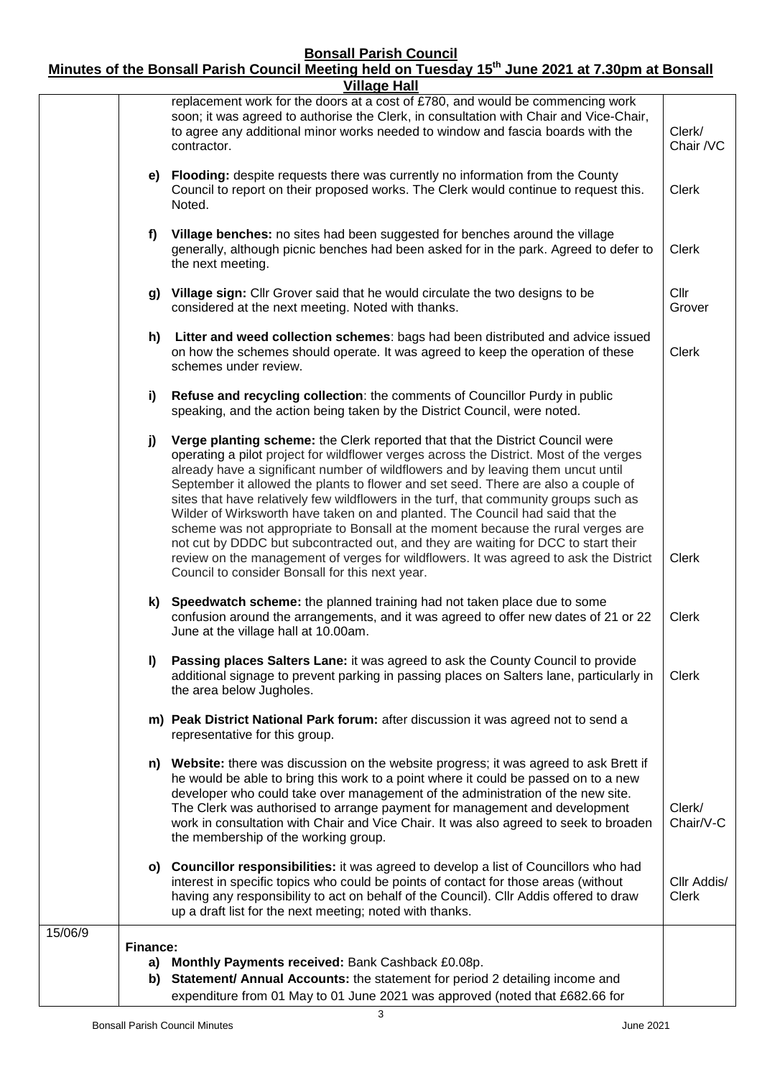#### **Bonsall Parish Council**

# **Minutes of the Bonsall Parish Council Meeting held on Tuesday 15th June 2021 at 7.30pm at Bonsall**

|         |          | <b>Village Hall</b>                                                                                                                                                                                                                                                                                                                                                                                                                                                                                                                                                                                                                                                                                                                                                                                                                                |                             |
|---------|----------|----------------------------------------------------------------------------------------------------------------------------------------------------------------------------------------------------------------------------------------------------------------------------------------------------------------------------------------------------------------------------------------------------------------------------------------------------------------------------------------------------------------------------------------------------------------------------------------------------------------------------------------------------------------------------------------------------------------------------------------------------------------------------------------------------------------------------------------------------|-----------------------------|
|         |          | replacement work for the doors at a cost of £780, and would be commencing work<br>soon; it was agreed to authorise the Clerk, in consultation with Chair and Vice-Chair,<br>to agree any additional minor works needed to window and fascia boards with the<br>contractor.                                                                                                                                                                                                                                                                                                                                                                                                                                                                                                                                                                         | Clerk/<br>Chair /VC         |
|         |          | e) Flooding: despite requests there was currently no information from the County<br>Council to report on their proposed works. The Clerk would continue to request this.<br>Noted.                                                                                                                                                                                                                                                                                                                                                                                                                                                                                                                                                                                                                                                                 | <b>Clerk</b>                |
|         | f        | Village benches: no sites had been suggested for benches around the village<br>generally, although picnic benches had been asked for in the park. Agreed to defer to<br>the next meeting.                                                                                                                                                                                                                                                                                                                                                                                                                                                                                                                                                                                                                                                          | Clerk                       |
|         |          | g) Village sign: Cllr Grover said that he would circulate the two designs to be<br>considered at the next meeting. Noted with thanks.                                                                                                                                                                                                                                                                                                                                                                                                                                                                                                                                                                                                                                                                                                              | Cllr<br>Grover              |
|         | h)       | Litter and weed collection schemes: bags had been distributed and advice issued<br>on how the schemes should operate. It was agreed to keep the operation of these<br>schemes under review.                                                                                                                                                                                                                                                                                                                                                                                                                                                                                                                                                                                                                                                        | <b>Clerk</b>                |
|         | i)       | Refuse and recycling collection: the comments of Councillor Purdy in public<br>speaking, and the action being taken by the District Council, were noted.                                                                                                                                                                                                                                                                                                                                                                                                                                                                                                                                                                                                                                                                                           |                             |
|         | j)       | Verge planting scheme: the Clerk reported that that the District Council were<br>operating a pilot project for wildflower verges across the District. Most of the verges<br>already have a significant number of wildflowers and by leaving them uncut until<br>September it allowed the plants to flower and set seed. There are also a couple of<br>sites that have relatively few wildflowers in the turf, that community groups such as<br>Wilder of Wirksworth have taken on and planted. The Council had said that the<br>scheme was not appropriate to Bonsall at the moment because the rural verges are<br>not cut by DDDC but subcontracted out, and they are waiting for DCC to start their<br>review on the management of verges for wildflowers. It was agreed to ask the District<br>Council to consider Bonsall for this next year. | Clerk                       |
|         |          | k) Speedwatch scheme: the planned training had not taken place due to some<br>confusion around the arrangements, and it was agreed to offer new dates of 21 or 22<br>June at the village hall at 10.00am.                                                                                                                                                                                                                                                                                                                                                                                                                                                                                                                                                                                                                                          | Clerk                       |
|         | I)       | Passing places Salters Lane: it was agreed to ask the County Council to provide<br>additional signage to prevent parking in passing places on Salters lane, particularly in<br>the area below Jugholes.                                                                                                                                                                                                                                                                                                                                                                                                                                                                                                                                                                                                                                            | <b>Clerk</b>                |
|         |          | m) Peak District National Park forum: after discussion it was agreed not to send a<br>representative for this group.                                                                                                                                                                                                                                                                                                                                                                                                                                                                                                                                                                                                                                                                                                                               |                             |
|         |          | n) Website: there was discussion on the website progress; it was agreed to ask Brett if<br>he would be able to bring this work to a point where it could be passed on to a new<br>developer who could take over management of the administration of the new site.<br>The Clerk was authorised to arrange payment for management and development<br>work in consultation with Chair and Vice Chair. It was also agreed to seek to broaden<br>the membership of the working group.                                                                                                                                                                                                                                                                                                                                                                   | Clerk/<br>Chair/V-C         |
|         |          | o) Councillor responsibilities: it was agreed to develop a list of Councillors who had<br>interest in specific topics who could be points of contact for those areas (without<br>having any responsibility to act on behalf of the Council). Cllr Addis offered to draw<br>up a draft list for the next meeting; noted with thanks.                                                                                                                                                                                                                                                                                                                                                                                                                                                                                                                | Cllr Addis/<br><b>Clerk</b> |
| 15/06/9 |          |                                                                                                                                                                                                                                                                                                                                                                                                                                                                                                                                                                                                                                                                                                                                                                                                                                                    |                             |
|         | Finance: | a) Monthly Payments received: Bank Cashback £0.08p.                                                                                                                                                                                                                                                                                                                                                                                                                                                                                                                                                                                                                                                                                                                                                                                                |                             |
|         |          | b) Statement/ Annual Accounts: the statement for period 2 detailing income and<br>expenditure from 01 May to 01 June 2021 was approved (noted that £682.66 for                                                                                                                                                                                                                                                                                                                                                                                                                                                                                                                                                                                                                                                                                     |                             |